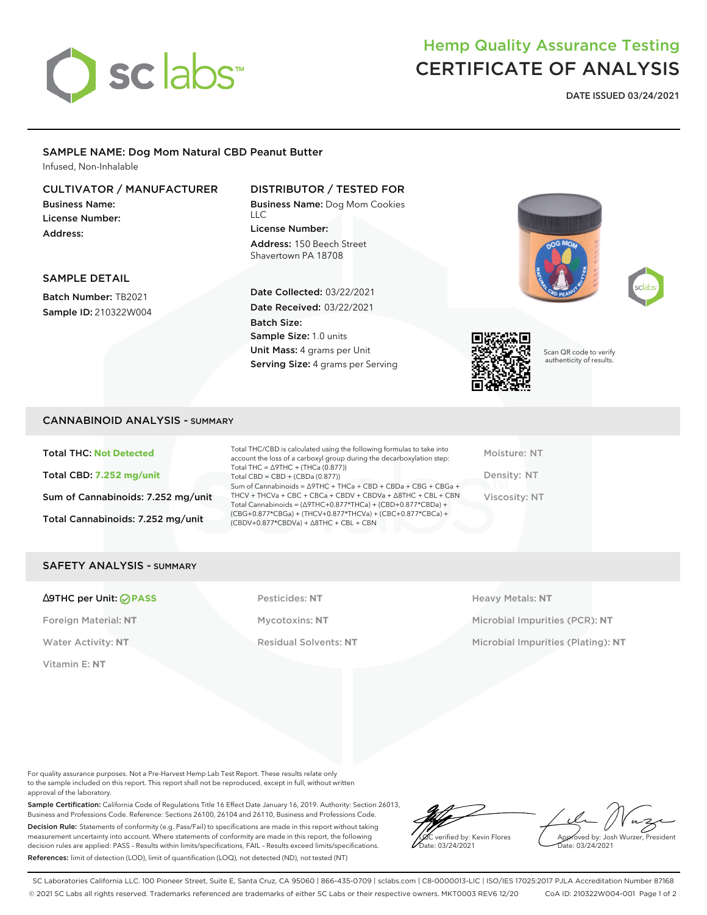

# Hemp Quality Assurance Testing CERTIFICATE OF ANALYSIS

**DATE ISSUED 03/24/2021**

## SAMPLE NAME: Dog Mom Natural CBD Peanut Butter

Infused, Non-Inhalable

## CULTIVATOR / MANUFACTURER

Business Name: License Number: Address:

## DISTRIBUTOR / TESTED FOR

Business Name: Dog Mom Cookies  $\overline{11}$ License Number: Address: 150 Beech Street Shavertown PA 18708



# SAMPLE DETAIL

Batch Number: TB2021 Sample ID: 210322W004

#### Date Collected: 03/22/2021 Date Received: 03/22/2021 Batch Size: Sample Size: 1.0 units Unit Mass: 4 grams per Unit Serving Size: 4 grams per Serving



Scan QR code to verify authenticity of results.

#### CANNABINOID ANALYSIS - SUMMARY

Total THC: **Not Detected** Total CBD: **7.252 mg/unit** Sum of Cannabinoids: 7.252 mg/unit Total Cannabinoids: 7.252 mg/unit

Total THC/CBD is calculated using the following formulas to take into account the loss of a carboxyl group during the decarboxylation step: Total THC = ∆9THC + (THCa (0.877)) Total CBD = CBD + (CBDa (0.877)) Sum of Cannabinoids = ∆9THC + THCa + CBD + CBDa + CBG + CBGa + THCV + THCVa + CBC + CBCa + CBDV + CBDVa + ∆8THC + CBL + CBN Total Cannabinoids = (∆9THC+0.877\*THCa) + (CBD+0.877\*CBDa) + (CBG+0.877\*CBGa) + (THCV+0.877\*THCVa) + (CBC+0.877\*CBCa) + (CBDV+0.877\*CBDVa) + ∆8THC + CBL + CBN

Moisture: NT Density: NT Viscosity: NT

#### SAFETY ANALYSIS - SUMMARY

#### ∆9THC per Unit: **PASS** Pesticides: **NT** Heavy Metals: **NT**

Vitamin E: **NT**

Foreign Material: **NT** Mycotoxins: **NT** Microbial Impurities (PCR): **NT** Water Activity: NT **Residual Solvents: NT** Microbial Impurities (Plating): NT

For quality assurance purposes. Not a Pre-Harvest Hemp Lab Test Report. These results relate only to the sample included on this report. This report shall not be reproduced, except in full, without written approval of the laboratory.

Sample Certification: California Code of Regulations Title 16 Effect Date January 16, 2019. Authority: Section 26013, Business and Professions Code. Reference: Sections 26100, 26104 and 26110, Business and Professions Code. Decision Rule: Statements of conformity (e.g. Pass/Fail) to specifications are made in this report without taking measurement uncertainty into account. Where statements of conformity are made in this report, the following decision rules are applied: PASS – Results within limits/specifications, FAIL – Results exceed limits/specifications. References: limit of detection (LOD), limit of quantification (LOQ), not detected (ND), not tested (NT)

LQC verified by: Kevin Flores ate: 03/24/2021

Approved by: Josh Wurzer, President Date: 03/24/2021

SC Laboratories California LLC. 100 Pioneer Street, Suite E, Santa Cruz, CA 95060 | 866-435-0709 | sclabs.com | C8-0000013-LIC | ISO/IES 17025:2017 PJLA Accreditation Number 87168 © 2021 SC Labs all rights reserved. Trademarks referenced are trademarks of either SC Labs or their respective owners. MKT0003 REV6 12/20 CoA ID: 210322W004-001 Page 1 of 2